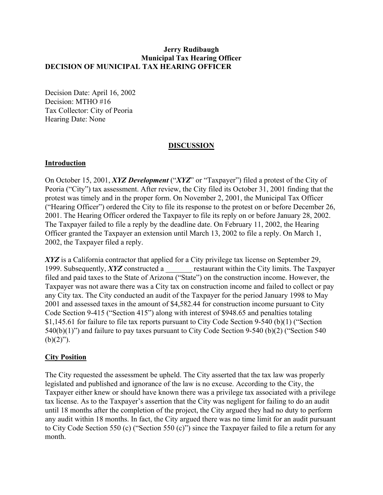## **Jerry Rudibaugh Municipal Tax Hearing Officer DECISION OF MUNICIPAL TAX HEARING OFFICER**

Decision Date: April 16, 2002 Decision: MTHO #16 Tax Collector: City of Peoria Hearing Date: None

## **DISCUSSION**

## **Introduction**

On October 15, 2001, *XYZ Development* ("*XYZ*" or "Taxpayer") filed a protest of the City of Peoria ("City") tax assessment. After review, the City filed its October 31, 2001 finding that the protest was timely and in the proper form. On November 2, 2001, the Municipal Tax Officer ("Hearing Officer") ordered the City to file its response to the protest on or before December 26, 2001. The Hearing Officer ordered the Taxpayer to file its reply on or before January 28, 2002. The Taxpayer failed to file a reply by the deadline date. On February 11, 2002, the Hearing Officer granted the Taxpayer an extension until March 13, 2002 to file a reply. On March 1, 2002, the Taxpayer filed a reply.

*XYZ* is a California contractor that applied for a City privilege tax license on September 29, 1999. Subsequently, *XYZ* constructed a constructed restaurant within the City limits. The Taxpayer filed and paid taxes to the State of Arizona ("State") on the construction income. However, the Taxpayer was not aware there was a City tax on construction income and failed to collect or pay any City tax. The City conducted an audit of the Taxpayer for the period January 1998 to May 2001 and assessed taxes in the amount of \$4,582.44 for construction income pursuant to City Code Section 9-415 ("Section 415") along with interest of \$948.65 and penalties totaling \$1,145.61 for failure to file tax reports pursuant to City Code Section 9-540 (b)(1) ("Section 540(b)(1)") and failure to pay taxes pursuant to City Code Section 9-540 (b)(2) ("Section 540  $(b)(2)$ ").

# **City Position**

The City requested the assessment be upheld. The City asserted that the tax law was properly legislated and published and ignorance of the law is no excuse. According to the City, the Taxpayer either knew or should have known there was a privilege tax associated with a privilege tax license. As to the Taxpayer's assertion that the City was negligent for failing to do an audit until 18 months after the completion of the project, the City argued they had no duty to perform any audit within 18 months. In fact, the City argued there was no time limit for an audit pursuant to City Code Section 550 (c) ("Section 550 (c)") since the Taxpayer failed to file a return for any month.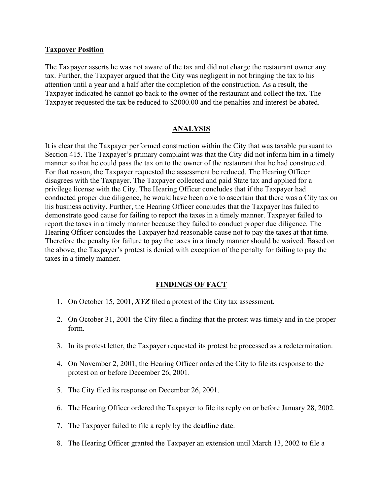#### **Taxpayer Position**

The Taxpayer asserts he was not aware of the tax and did not charge the restaurant owner any tax. Further, the Taxpayer argued that the City was negligent in not bringing the tax to his attention until a year and a half after the completion of the construction. As a result, the Taxpayer indicated he cannot go back to the owner of the restaurant and collect the tax. The Taxpayer requested the tax be reduced to \$2000.00 and the penalties and interest be abated.

# **ANALYSIS**

It is clear that the Taxpayer performed construction within the City that was taxable pursuant to Section 415. The Taxpayer's primary complaint was that the City did not inform him in a timely manner so that he could pass the tax on to the owner of the restaurant that he had constructed. For that reason, the Taxpayer requested the assessment be reduced. The Hearing Officer disagrees with the Taxpayer. The Taxpayer collected and paid State tax and applied for a privilege license with the City. The Hearing Officer concludes that if the Taxpayer had conducted proper due diligence, he would have been able to ascertain that there was a City tax on his business activity. Further, the Hearing Officer concludes that the Taxpayer has failed to demonstrate good cause for failing to report the taxes in a timely manner. Taxpayer failed to report the taxes in a timely manner because they failed to conduct proper due diligence. The Hearing Officer concludes the Taxpayer had reasonable cause not to pay the taxes at that time. Therefore the penalty for failure to pay the taxes in a timely manner should be waived. Based on the above, the Taxpayer's protest is denied with exception of the penalty for failing to pay the taxes in a timely manner.

# **FINDINGS OF FACT**

- 1. On October 15, 2001, *XYZ* filed a protest of the City tax assessment.
- 2. On October 31, 2001 the City filed a finding that the protest was timely and in the proper form.
- 3. In its protest letter, the Taxpayer requested its protest be processed as a redetermination.
- 4. On November 2, 2001, the Hearing Officer ordered the City to file its response to the protest on or before December 26, 2001.
- 5. The City filed its response on December 26, 2001.
- 6. The Hearing Officer ordered the Taxpayer to file its reply on or before January 28, 2002.
- 7. The Taxpayer failed to file a reply by the deadline date.
- 8. The Hearing Officer granted the Taxpayer an extension until March 13, 2002 to file a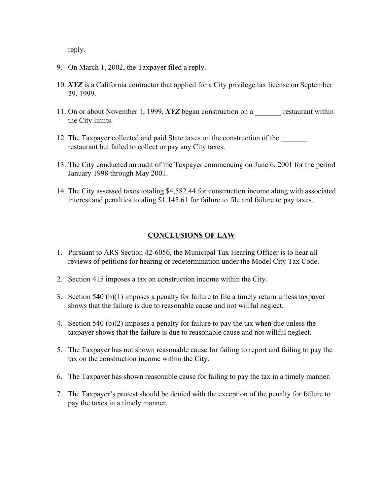reply.

- 9. On March 1, 2002, the Taxpayer filed a reply.
- 10. *XYZ* is a California contractor that applied for a City privilege tax license on September 29, 1999.
- 11. On or about November 1, 1999, *XYZ* began construction on a restaurant within the City limits.
- 12. The Taxpayer collected and paid State taxes on the construction of the restaurant but failed to collect or pay any City taxes.
- 13. The City conducted an audit of the Taxpayer commencing on June 6, 2001 for the period January 1998 through May 2001.
- 14. The City assessed taxes totaling \$4,582.44 for construction income along with associated interest and penalties totaling \$1,145.61 for failure to file and failure to pay taxes.

## **CONCLUSIONS OF LAW**

- 1. Pursuant to ARS Section 42-6056, the Municipal Tax Hearing Officer is to hear all reviews of petitions for hearing or redetermination under the Model City Tax Code.
- 2. Section 415 imposes a tax on construction income within the City.
- 3. Section 540 (b)(1) imposes a penalty for failure to file a timely return unless taxpayer shows that the failure is due to reasonable cause and not willful neglect.
- 4. Section 540 (b)(2) imposes a penalty for failure to pay the tax when due unless the taxpayer shows that the failure is due to reasonable cause and not willful neglect.
- 5. The Taxpayer has not shown reasonable cause for failing to report and failing to pay the tax on the construction income within the City.
- 6. The Taxpayer has shown reasonable cause for failing to pay the tax in a timely manner.
- 7. The Taxpayer's protest should be denied with the exception of the penalty for failure to pay the taxes in a timely manner.